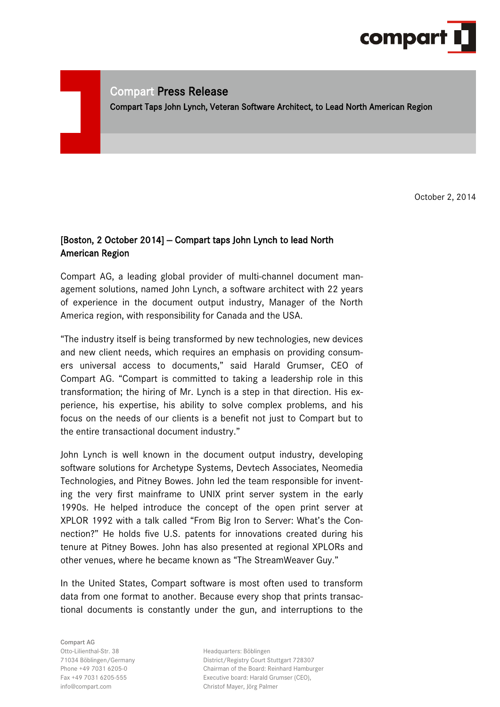

# Compart Press Release

Compart Taps John Lynch, Veteran Software Architect, to Lead North American Region

October 2, 2014

## [Boston, 2 October 2014] - Compart taps John Lynch to lead North American Region

Compart AG, a leading global provider of multi-channel document management solutions, named John Lynch, a software architect with 22 years of experience in the document output industry, Manager of the North America region, with responsibility for Canada and the USA.

"The industry itself is being transformed by new technologies, new devices and new client needs, which requires an emphasis on providing consumers universal access to documents," said Harald Grumser, CEO of Compart AG. "Compart is committed to taking a leadership role in this transformation; the hiring of Mr. Lynch is a step in that direction. His experience, his expertise, his ability to solve complex problems, and his focus on the needs of our clients is a benefit not just to Compart but to the entire transactional document industry."

John Lynch is well known in the document output industry, developing software solutions for Archetype Systems, Devtech Associates, Neomedia Technologies, and Pitney Bowes. John led the team responsible for inventing the very first mainframe to UNIX print server system in the early 1990s. He helped introduce the concept of the open print server at XPLOR 1992 with a talk called "From Big Iron to Server: What's the Connection?" He holds five U.S. patents for innovations created during his tenure at Pitney Bowes. John has also presented at regional XPLORs and other venues, where he became known as "The StreamWeaver Guy."

In the United States, Compart software is most often used to transform data from one format to another. Because every shop that prints transactional documents is constantly under the gun, and interruptions to the

Compart AG Otto-Lilienthal-Str. 38 and the extendio Headquarters: Böblingen

71034 Böblingen/Germany District/Registry Court Stuttgart 728307 Phone +49 7031 6205-0 Chairman of the Board: Reinhard Hamburger Fax +49 7031 6205-555 Executive board: Harald Grumser (CEO), info@compart.com Christof Mayer, Jörg Palmer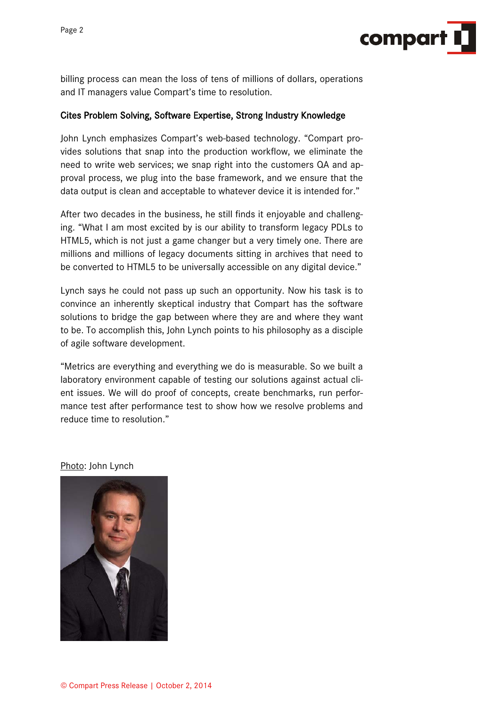

billing process can mean the loss of tens of millions of dollars, operations and IT managers value Compart's time to resolution.

### Cites Problem Solving, Software Expertise, Strong Industry Knowledge

John Lynch emphasizes Compart's web-based technology. "Compart provides solutions that snap into the production workflow, we eliminate the need to write web services; we snap right into the customers QA and approval process, we plug into the base framework, and we ensure that the data output is clean and acceptable to whatever device it is intended for."

After two decades in the business, he still finds it enjoyable and challenging. "What I am most excited by is our ability to transform legacy PDLs to HTML5, which is not just a game changer but a very timely one. There are millions and millions of legacy documents sitting in archives that need to be converted to HTML5 to be universally accessible on any digital device."

Lynch says he could not pass up such an opportunity. Now his task is to convince an inherently skeptical industry that Compart has the software solutions to bridge the gap between where they are and where they want to be. To accomplish this, John Lynch points to his philosophy as a disciple of agile software development.

"Metrics are everything and everything we do is measurable. So we built a laboratory environment capable of testing our solutions against actual client issues. We will do proof of concepts, create benchmarks, run performance test after performance test to show how we resolve problems and reduce time to resolution."

#### Photo: John Lynch